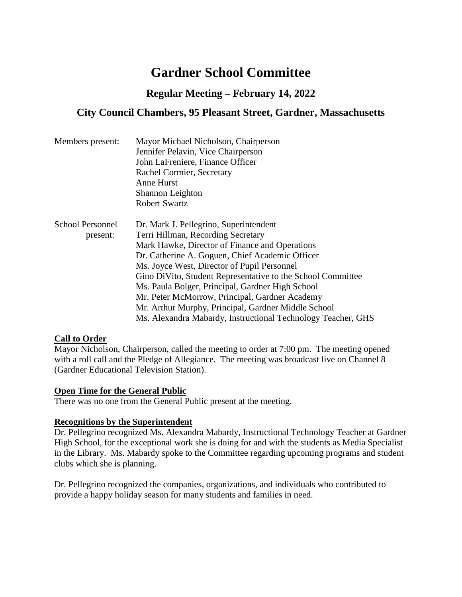# **Gardner School Committee**

# **Regular Meeting – February 14, 2022**

# **City Council Chambers, 95 Pleasant Street, Gardner, Massachusetts**

| Members present: | Mayor Michael Nicholson, Chairperson                         |
|------------------|--------------------------------------------------------------|
|                  | Jennifer Pelavin, Vice Chairperson                           |
|                  | John LaFreniere, Finance Officer                             |
|                  | Rachel Cormier, Secretary                                    |
|                  | <b>Anne Hurst</b>                                            |
|                  | Shannon Leighton                                             |
|                  | <b>Robert Swartz</b>                                         |
| School Personnel | Dr. Mark J. Pellegrino, Superintendent                       |
| present:         | Terri Hillman, Recording Secretary                           |
|                  | Mark Hawke, Director of Finance and Operations               |
|                  | Dr. Catherine A. Goguen, Chief Academic Officer              |
|                  | Ms. Joyce West, Director of Pupil Personnel                  |
|                  | Gino DiVito, Student Representative to the School Committee  |
|                  | Ms. Paula Bolger, Principal, Gardner High School             |
|                  | Mr. Peter McMorrow, Principal, Gardner Academy               |
|                  | Mr. Arthur Murphy, Principal, Gardner Middle School          |
|                  | Ms. Alexandra Mabardy, Instructional Technology Teacher, GHS |

#### **Call to Order**

Mayor Nicholson, Chairperson, called the meeting to order at 7:00 pm. The meeting opened with a roll call and the Pledge of Allegiance. The meeting was broadcast live on Channel 8 (Gardner Educational Television Station).

#### **Open Time for the General Public**

There was no one from the General Public present at the meeting.

#### **Recognitions by the Superintendent**

Dr. Pellegrino recognized Ms. Alexandra Mabardy, Instructional Technology Teacher at Gardner High School, for the exceptional work she is doing for and with the students as Media Specialist in the Library. Ms. Mabardy spoke to the Committee regarding upcoming programs and student clubs which she is planning.

Dr. Pellegrino recognized the companies, organizations, and individuals who contributed to provide a happy holiday season for many students and families in need.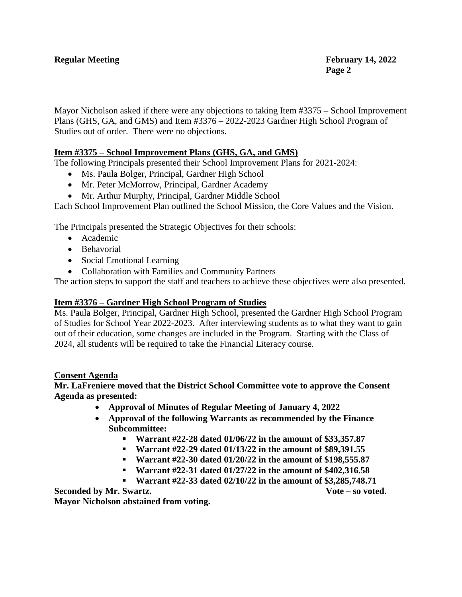Mayor Nicholson asked if there were any objections to taking Item #3375 – School Improvement Plans (GHS, GA, and GMS) and Item #3376 – 2022-2023 Gardner High School Program of Studies out of order. There were no objections.

### **Item #3375 – School Improvement Plans (GHS, GA, and GMS)**

The following Principals presented their School Improvement Plans for 2021-2024:

- Ms. Paula Bolger, Principal, Gardner High School
- Mr. Peter McMorrow, Principal, Gardner Academy
- Mr. Arthur Murphy, Principal, Gardner Middle School

Each School Improvement Plan outlined the School Mission, the Core Values and the Vision.

The Principals presented the Strategic Objectives for their schools:

- Academic
- Behavorial
- Social Emotional Learning
- Collaboration with Families and Community Partners

The action steps to support the staff and teachers to achieve these objectives were also presented.

#### **Item #3376 – Gardner High School Program of Studies**

Ms. Paula Bolger, Principal, Gardner High School, presented the Gardner High School Program of Studies for School Year 2022-2023. After interviewing students as to what they want to gain out of their education, some changes are included in the Program. Starting with the Class of 2024, all students will be required to take the Financial Literacy course.

#### **Consent Agenda**

#### **Mr. LaFreniere moved that the District School Committee vote to approve the Consent Agenda as presented:**

- **Approval of Minutes of Regular Meeting of January 4, 2022**
- **Approval of the following Warrants as recommended by the Finance Subcommittee:**
	- **Warrant #22-28 dated 01/06/22 in the amount of \$33,357.87**
	- **Warrant #22-29 dated 01/13/22 in the amount of \$89,391.55**
	- **Warrant #22-30 dated 01/20/22 in the amount of \$198,555.87**
	- **Warrant #22-31 dated 01/27/22 in the amount of \$402,316.58**
	- **Warrant #22-33 dated 02/10/22 in the amount of \$3,285,748.71**

**Seconded by Mr. Swartz. Vote – so voted. Mayor Nicholson abstained from voting.**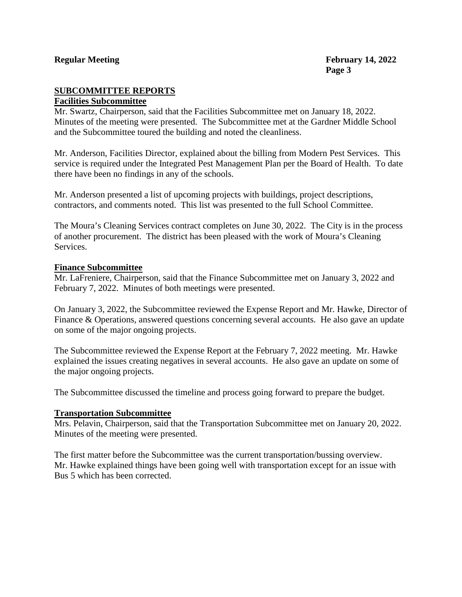# **SUBCOMMITTEE REPORTS**

#### **Facilities Subcommittee**

Mr. Swartz, Chairperson, said that the Facilities Subcommittee met on January 18, 2022. Minutes of the meeting were presented. The Subcommittee met at the Gardner Middle School and the Subcommittee toured the building and noted the cleanliness.

Mr. Anderson, Facilities Director, explained about the billing from Modern Pest Services. This service is required under the Integrated Pest Management Plan per the Board of Health. To date there have been no findings in any of the schools.

Mr. Anderson presented a list of upcoming projects with buildings, project descriptions, contractors, and comments noted. This list was presented to the full School Committee.

The Moura's Cleaning Services contract completes on June 30, 2022. The City is in the process of another procurement. The district has been pleased with the work of Moura's Cleaning Services.

#### **Finance Subcommittee**

Mr. LaFreniere, Chairperson, said that the Finance Subcommittee met on January 3, 2022 and February 7, 2022. Minutes of both meetings were presented.

On January 3, 2022, the Subcommittee reviewed the Expense Report and Mr. Hawke, Director of Finance & Operations, answered questions concerning several accounts. He also gave an update on some of the major ongoing projects.

The Subcommittee reviewed the Expense Report at the February 7, 2022 meeting. Mr. Hawke explained the issues creating negatives in several accounts. He also gave an update on some of the major ongoing projects.

The Subcommittee discussed the timeline and process going forward to prepare the budget.

#### **Transportation Subcommittee**

Mrs. Pelavin, Chairperson, said that the Transportation Subcommittee met on January 20, 2022. Minutes of the meeting were presented.

The first matter before the Subcommittee was the current transportation/bussing overview. Mr. Hawke explained things have been going well with transportation except for an issue with Bus 5 which has been corrected.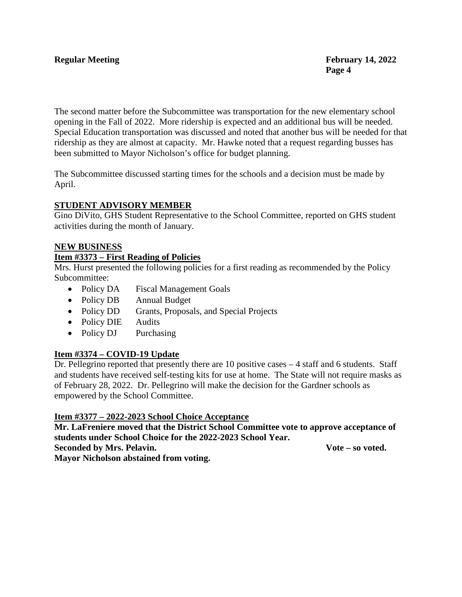The second matter before the Subcommittee was transportation for the new elementary school opening in the Fall of 2022. More ridership is expected and an additional bus will be needed. Special Education transportation was discussed and noted that another bus will be needed for that ridership as they are almost at capacity. Mr. Hawke noted that a request regarding busses has been submitted to Mayor Nicholson's office for budget planning.

The Subcommittee discussed starting times for the schools and a decision must be made by April.

### **STUDENT ADVISORY MEMBER**

Gino DiVito, GHS Student Representative to the School Committee, reported on GHS student activities during the month of January.

#### **NEW BUSINESS**

#### **Item #3373 – First Reading of Policies**

Mrs. Hurst presented the following policies for a first reading as recommended by the Policy Subcommittee:

- Policy DA Fiscal Management Goals
- Policy DB Annual Budget
- Policy DD Grants, Proposals, and Special Projects
- Policy DIE Audits
- Policy DJ Purchasing

# **Item #3374 – COVID-19 Update**

Dr. Pellegrino reported that presently there are 10 positive cases – 4 staff and 6 students. Staff and students have received self-testing kits for use at home. The State will not require masks as of February 28, 2022. Dr. Pellegrino will make the decision for the Gardner schools as empowered by the School Committee.

#### **Item #3377 – 2022-2023 School Choice Acceptance**

**Mr. LaFreniere moved that the District School Committee vote to approve acceptance of students under School Choice for the 2022-2023 School Year. Seconded by Mrs. Pelavin. Vote – so voted. Mayor Nicholson abstained from voting.**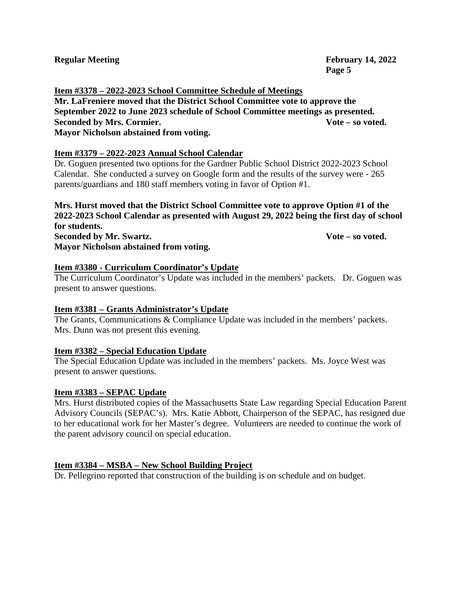**Item #3378 – 2022-2023 School Committee Schedule of Meetings Mr. LaFreniere moved that the District School Committee vote to approve the September 2022 to June 2023 schedule of School Committee meetings as presented. Seconded by Mrs. Cormier. Vote – so voted. Mayor Nicholson abstained from voting.**

# **Item #3379 – 2022-2023 Annual School Calendar**

Dr. Goguen presented two options for the Gardner Public School District 2022-2023 School Calendar. She conducted a survey on Google form and the results of the survey were - 265 parents/guardians and 180 staff members voting in favor of Option #1.

**Mrs. Hurst moved that the District School Committee vote to approve Option #1 of the 2022-2023 School Calendar as presented with August 29, 2022 being the first day of school for students. Seconded by Mr. Swartz. Vote – so voted. Mayor Nicholson abstained from voting.**

# **Item #3380 - Curriculum Coordinator's Update**

The Curriculum Coordinator's Update was included in the members' packets. Dr. Goguen was present to answer questions.

# **Item #3381 – Grants Administrator's Update**

The Grants, Communications & Compliance Update was included in the members' packets. Mrs. Dunn was not present this evening.

# **Item #3382 – Special Education Update**

The Special Education Update was included in the members' packets. Ms. Joyce West was present to answer questions.

# **Item #3383 – SEPAC Update**

Mrs. Hurst distributed copies of the Massachusetts State Law regarding Special Education Parent Advisory Councils (SEPAC's). Mrs. Katie Abbott, Chairperson of the SEPAC, has resigned due to her educational work for her Master's degree. Volunteers are needed to continue the work of the parent advisory council on special education.

# **Item #3384 – MSBA – New School Building Project**

Dr. Pellegrino reported that construction of the building is on schedule and on budget.